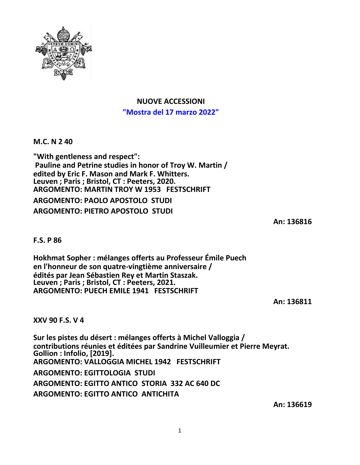

## **NUOVE ACCESSIONI "Mostra del 17 marzo 2022"**

**M.C. N 2 40**

**"With gentleness and respect": Pauline and Petrine studies in honor of Troy W. Martin / edited by Eric F. Mason and Mark F. Whitters. Leuven ; Paris ; Bristol, CT : Peeters, 2020. ARGOMENTO: MARTIN TROY W 1953 FESTSCHRIFT ARGOMENTO: PAOLO APOSTOLO STUDI ARGOMENTO: PIETRO APOSTOLO STUDI**

**An: 136816**

**F.S. P 86**

**Hokhmat Sopher : mélanges offerts au Professeur Émile Puech en l'honneur de son quatre-vingtième anniversaire / édités par Jean Sébastien Rey et Martin Staszak. Leuven ; Paris ; Bristol, CT : Peeters, 2021. ARGOMENTO: PUECH EMILE 1941 FESTSCHRIFT**

**An: 136811**

**XXV 90 F.S. V 4**

**Sur les pistes du désert : mélanges offerts à Michel Valloggia / contributions réunies et éditées par Sandrine Vuilleumier et Pierre Meyrat. Gollion : Infolio, [2019]. ARGOMENTO: VALLOGGIA MICHEL 1942 FESTSCHRIFT ARGOMENTO: EGITTOLOGIA STUDI ARGOMENTO: EGITTO ANTICO STORIA 332 AC 640 DC ARGOMENTO: EGITTO ANTICO ANTICHITA**

**An: 136619**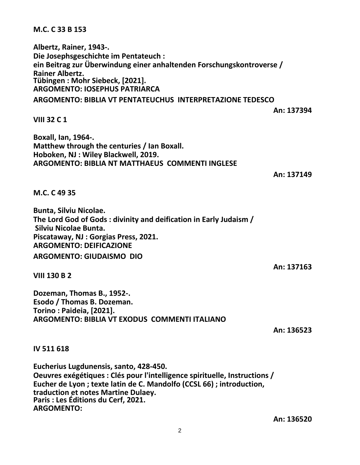## **M.C. C 33 B 153**

**Albertz, Rainer, 1943-. Die Josephsgeschichte im Pentateuch : ein Beitrag zur Überwindung einer anhaltenden Forschungskontroverse / Rainer Albertz. Tübingen : Mohr Siebeck, [2021]. ARGOMENTO: IOSEPHUS PATRIARCA**

**ARGOMENTO: BIBLIA VT PENTATEUCHUS INTERPRETAZIONE TEDESCO**

**An: 137394**

**VIII 32 C 1**

**Boxall, Ian, 1964-. Matthew through the centuries / Ian Boxall. Hoboken, NJ : Wiley Blackwell, 2019. ARGOMENTO: BIBLIA NT MATTHAEUS COMMENTI INGLESE**

**An: 137149**

**M.C. C 49 35**

**Bunta, Silviu Nicolae. The Lord God of Gods : divinity and deification in Early Judaism / Silviu Nicolae Bunta. Piscataway, NJ : Gorgias Press, 2021. ARGOMENTO: DEIFICAZIONE ARGOMENTO: GIUDAISMO DIO**

**VIII 130 B 2**

**Dozeman, Thomas B., 1952-. Esodo / Thomas B. Dozeman. Torino : Paideia, [2021]. ARGOMENTO: BIBLIA VT EXODUS COMMENTI ITALIANO**

**An: 136523**

**An: 137163**

**IV 511 618**

**Eucherius Lugdunensis, santo, 428-450. Oeuvres exégétiques : Clés pour l'intelligence spirituelle, Instructions / Eucher de Lyon ; texte latin de C. Mandolfo (CCSL 66) ; introduction, traduction et notes Martine Dulaey. Paris : Les Éditions du Cerf, 2021. ARGOMENTO:**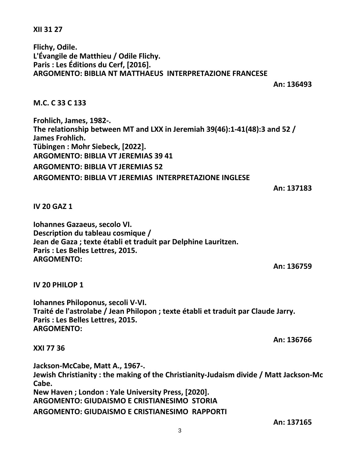**XII 31 27**

**Flichy, Odile. L'Évangile de Matthieu / Odile Flichy. Paris : Les Éditions du Cerf, [2016]. ARGOMENTO: BIBLIA NT MATTHAEUS INTERPRETAZIONE FRANCESE**

**An: 136493**

**M.C. C 33 C 133**

**Frohlich, James, 1982-. The relationship between MT and LXX in Jeremiah 39(46):1-41(48):3 and 52 / James Frohlich. Tübingen : Mohr Siebeck, [2022]. ARGOMENTO: BIBLIA VT JEREMIAS 39 41 ARGOMENTO: BIBLIA VT JEREMIAS 52 ARGOMENTO: BIBLIA VT JEREMIAS INTERPRETAZIONE INGLESE**

**An: 137183**

**IV 20 GAZ 1**

**Iohannes Gazaeus, secolo VI. Description du tableau cosmique / Jean de Gaza ; texte établi et traduit par Delphine Lauritzen. Paris : Les Belles Lettres, 2015. ARGOMENTO:**

**An: 136759**

**IV 20 PHILOP 1**

**Iohannes Philoponus, secoli V-VI. Traité de l'astrolabe / Jean Philopon ; texte établi et traduit par Claude Jarry. Paris : Les Belles Lettres, 2015. ARGOMENTO:**

**An: 136766**

**XXI 77 36**

**Jackson-McCabe, Matt A., 1967-. Jewish Christianity : the making of the Christianity-Judaism divide / Matt Jackson-Mc Cabe. New Haven ; London : Yale University Press, [2020]. ARGOMENTO: GIUDAISMO E CRISTIANESIMO STORIA ARGOMENTO: GIUDAISMO E CRISTIANESIMO RAPPORTI**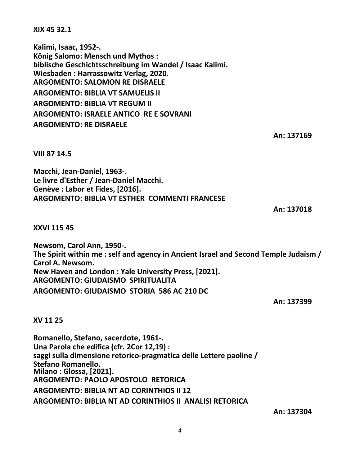**XIX 45 32.1**

**Kalimi, Isaac, 1952-. König Salomo: Mensch und Mythos : biblische Geschichtsschreibung im Wandel / Isaac Kalimi. Wiesbaden : Harrassowitz Verlag, 2020. ARGOMENTO: SALOMON RE DISRAELE ARGOMENTO: BIBLIA VT SAMUELIS II ARGOMENTO: BIBLIA VT REGUM II ARGOMENTO: ISRAELE ANTICO RE E SOVRANI ARGOMENTO: RE DISRAELE**

**An: 137169**

**VIII 87 14.5**

**Macchi, Jean-Daniel, 1963-. Le livre d'Esther / Jean-Daniel Macchi. Genève : Labor et Fides, [2016]. ARGOMENTO: BIBLIA VT ESTHER COMMENTI FRANCESE**

**An: 137018**

**XXVI 115 45**

**Newsom, Carol Ann, 1950-. The Spirit within me : self and agency in Ancient Israel and Second Temple Judaism / Carol A. Newsom. New Haven and London : Yale University Press, [2021]. ARGOMENTO: GIUDAISMO SPIRITUALITA ARGOMENTO: GIUDAISMO STORIA 586 AC 210 DC**

**An: 137399**

**XV 11 25**

**Romanello, Stefano, sacerdote, 1961-. Una Parola che edifica (cfr. 2Cor 12,19) : saggi sulla dimensione retorico-pragmatica delle Lettere paoline / Stefano Romanello. Milano : Glossa, [2021]. ARGOMENTO: PAOLO APOSTOLO RETORICA ARGOMENTO: BIBLIA NT AD CORINTHIOS II 12 ARGOMENTO: BIBLIA NT AD CORINTHIOS II ANALISI RETORICA**

**An: 137304**